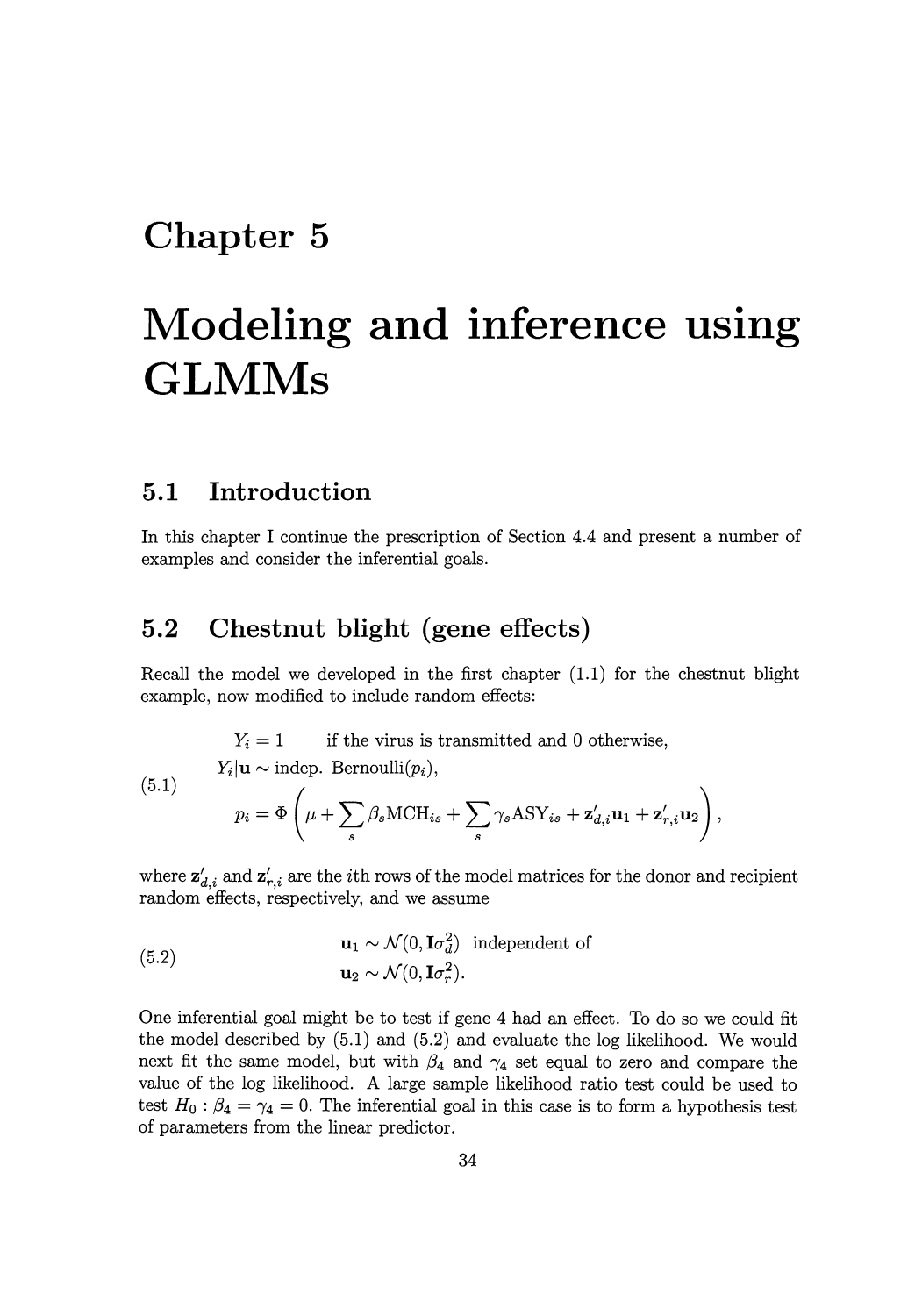## **Chapter 5**

# **Modeling and inference using GLMMs**

#### **5.1 Introduction**

In this chapter I continue the prescription of Section 4.4 and present a number of examples and consider the inferential goals.

### **5.2 Chestnut blight (gene effects)**

Recall the model we developed in the first chapter (1.1) for the chestnut blight example, now modified to include random effects:

 $Y_i = 1$  if the virus is transmitted and 0 otherwise, (5.1)  $Y_i|\mathbf{u} \sim \text{indep. Bernoulli}(p_i),$  $p_i = \Phi\left(\mu + \sum_{s} \beta_s \text{MCH}_{is} + \sum_{s} \gamma_s \text{ASY}_{is} + \mathbf{z}'_{d,i} \mathbf{u}_1 + \mathbf{z}'_{r,i} \mathbf{u}_2\right),$ 

where  $z'_{d,i}$  and  $z'_{r,i}$  are the *i*th rows of the model matrices for the donor and recipient random effects, respectively, and we assume

(5.2) 
$$
\mathbf{u}_1 \sim \mathcal{N}(0, \mathbf{I}\sigma_d^2) \text{ independent of}
$$

$$
\mathbf{u}_2 \sim \mathcal{N}(0, \mathbf{I}\sigma_r^2).
$$

One inferential goal might be to test if gene 4 had an effect. To do so we could fit the model described by (5.1) and (5.2) and evaluate the log likelihood. We would next fit the same model, but with  $\beta_4$  and  $\gamma_4$  set equal to zero and compare the value of the log likelihood. A large sample likelihood ratio test could be used to test  $H_0: \beta_4 = \gamma_4 = 0$ . The inferential goal in this case is to form a hypothesis test of parameters from the linear predictor.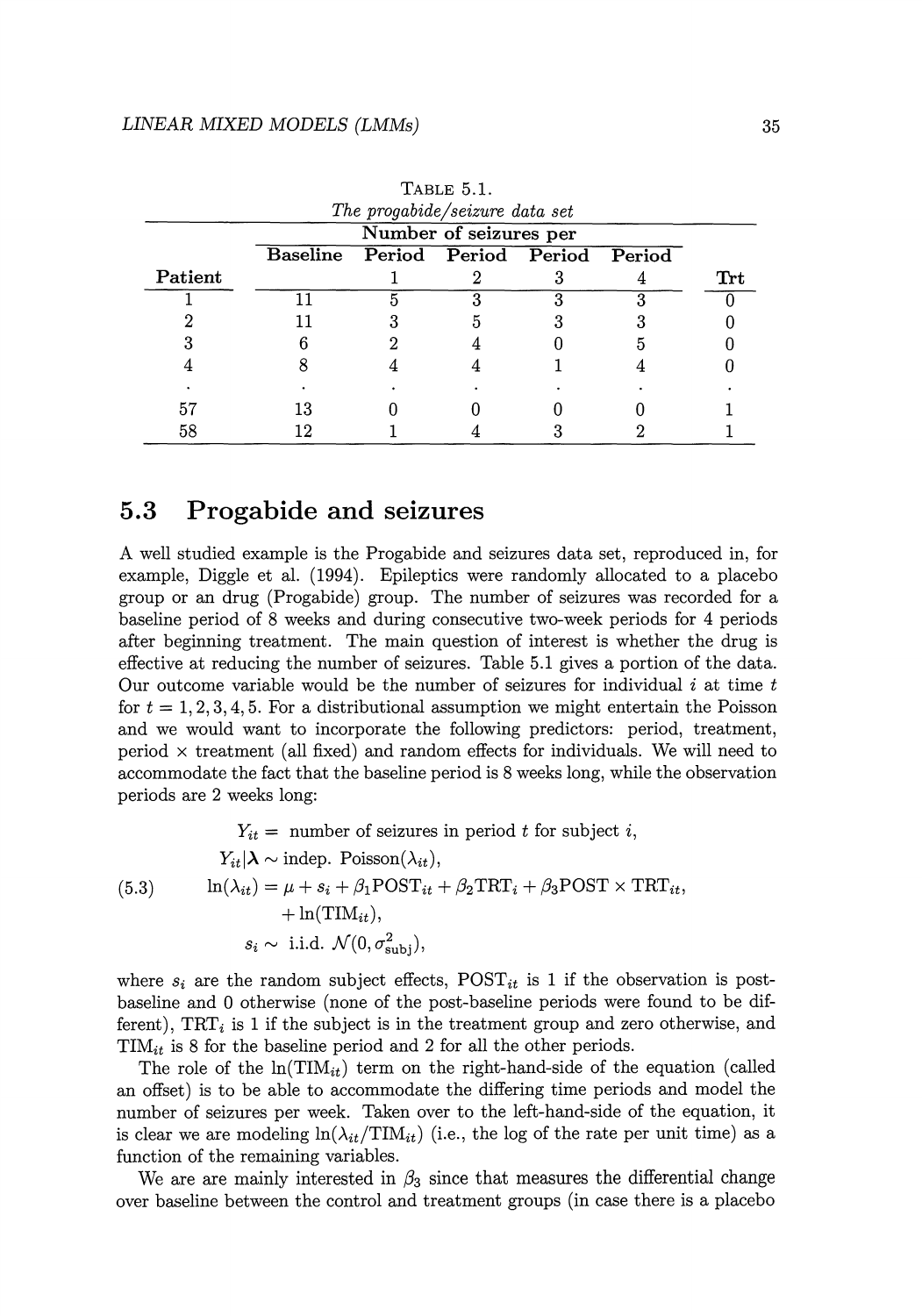| IADUL U.I.<br>The progabide/seizure data set |                                      |  |  |  |  |     |
|----------------------------------------------|--------------------------------------|--|--|--|--|-----|
|                                              | Number of seizures per               |  |  |  |  |     |
|                                              | Baseline Period Period Period Period |  |  |  |  |     |
| Patient                                      |                                      |  |  |  |  | Trt |
|                                              |                                      |  |  |  |  |     |
|                                              |                                      |  |  |  |  |     |
|                                              |                                      |  |  |  |  |     |
|                                              |                                      |  |  |  |  |     |
|                                              |                                      |  |  |  |  |     |
|                                              |                                      |  |  |  |  |     |
| 58                                           |                                      |  |  |  |  |     |

TABLE 5.1.

#### **5.3 Progabide and seizures**

A well studied example is the Progabide and seizures data set, reproduced in, for example, Diggle et al. (1994). Epileptics were randomly allocated to a placebo group or an drug (Progabide) group. The number of seizures was recorded for a baseline period of 8 weeks and during consecutive two-week periods for 4 periods after beginning treatment. The main question of interest is whether the drug is effective at reducing the number of seizures. Table 5.1 gives a portion of the data. Our outcome variable would be the number of seizures for individual  $i$  at time  $t$ for  $t = 1, 2, 3, 4, 5$ . For a distributional assumption we might entertain the Poisson and we would want to incorporate the following predictors: period, treatment, period  $\times$  treatment (all fixed) and random effects for individuals. We will need to accommodate the fact that the baseline period is 8 weeks long, while the observation periods are 2 weeks long:

 $Y_{it}$  = number of seizures in period t for subject i,  $Y_{it}|\lambda \sim \text{indep. Poisson}(\lambda_{it}),$ (5.3)  $\ln(\lambda_{it}) = \mu + s_i + \beta_1 \text{POST}_{it} + \beta_2 \text{TRT}_i + \beta_3 \text{POST} \times \text{TRT}_{it}$  $+ \ln(TIM_{it}),$  $s_i \sim$  i.i.d.  $\mathcal{N}(0, \sigma_{\text{sub}}^2)$ ,

where  $s_i$  are the random subject effects,  $\text{POST}_{it}$  is 1 if the observation is postbaseline and 0 otherwise (none of the post-baseline periods were found to be different),  $TRT_i$  is 1 if the subject is in the treatment group and zero otherwise, and  $\text{TIM}_{it}$  is 8 for the baseline period and 2 for all the other periods.

The role of the  $\ln(TIM_{it})$  term on the right-hand-side of the equation (called an offset) is to be able to accommodate the differing time periods and model the number of seizures per week. Taken over to the left-hand-side of the equation, it is clear we are modeling  $ln(\lambda_{it}/TIM_{it})$  (i.e., the log of the rate per unit time) as a function of the remaining variables.

We are are mainly interested in  $\beta_3$  since that measures the differential change over baseline between the control and treatment groups (in case there is a placebo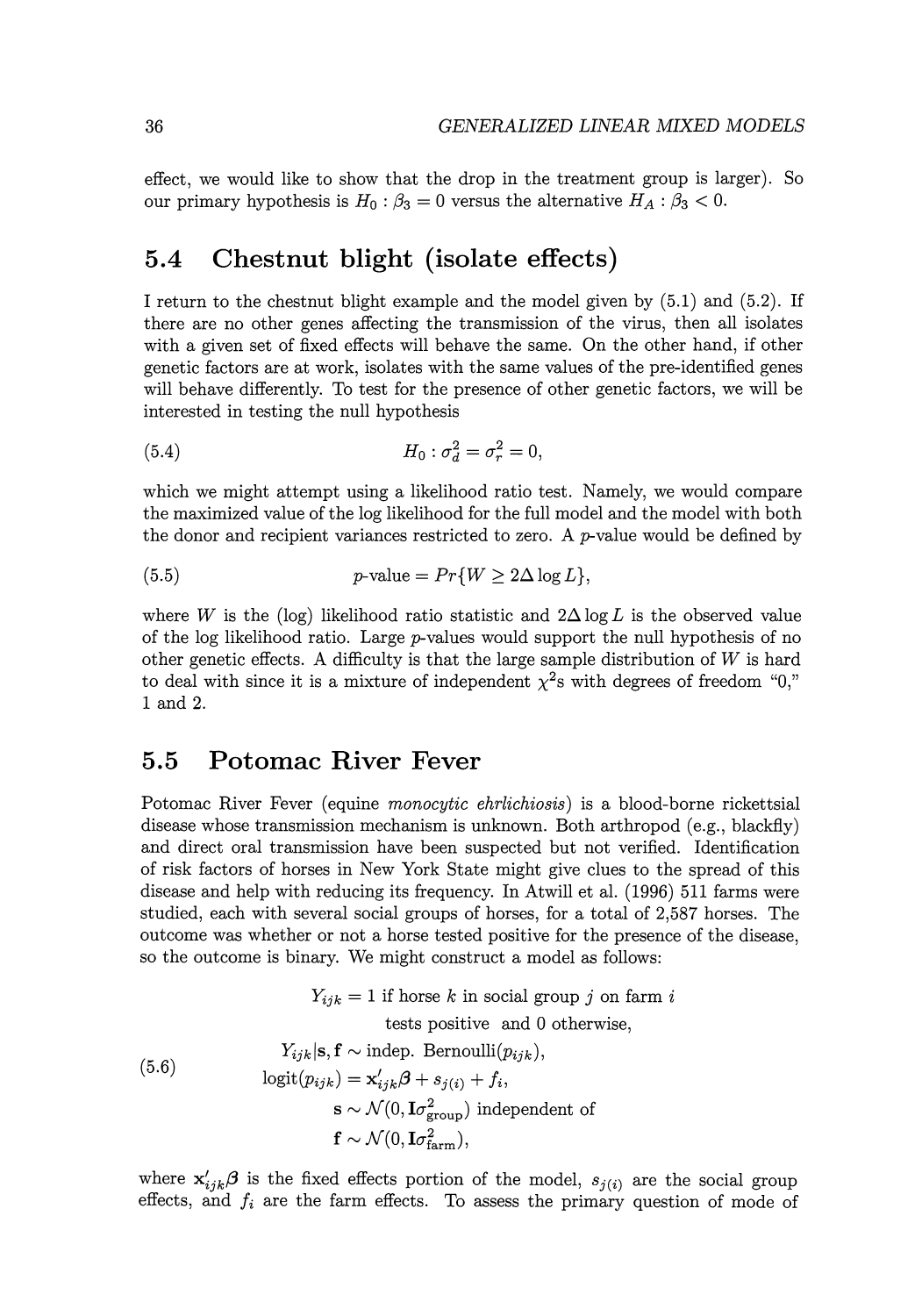effect, we would like to show that the drop in the treatment group is larger). So our primary hypothesis is  $H_0: \beta_3 = 0$  versus the alternative  $H_A: \beta_3 < 0$ .

#### **5.4 Chestnut blight (isolate effects)**

I return to the chestnut blight example and the model given by (5.1) and (5.2). If there are no other genes affecting the transmission of the virus, then all isolates with a given set of fixed effects will behave the same. On the other hand, if other genetic factors are at work, isolates with the same values of the pre-identified genes will behave differently. To test for the presence of other genetic factors, we will be interested in testing the null hypothesis

(5.4) 
$$
H_0: \sigma_d^2 = \sigma_r^2 = 0,
$$

which we might attempt using a likelihood ratio test. Namely, we would compare the maximized value of the log likelihood for the full model and the model with both the donor and recipient variances restricted to zero. A  $p$ -value would be defined by

(5.5) 
$$
p\text{-value} = Pr\{W \ge 2\Delta \log L\},\
$$

where *W* is the (log) likelihood ratio statistic and  $2\Delta \log L$  is the observed value of the log likelihood ratio. Large  $p$ -values would support the null hypothesis of no other genetic effects. A difficulty is that the large sample distribution of *W* is hard to deal with since it is a mixture of independent  $\chi^2$ s with degrees of freedom "0," 1 and 2.

#### **5.5 Potomac River Fever**

Potomac River Fever (equine *monocytic ehrlichiosis)* is a blood-borne rickettsial disease whose transmission mechanism is unknown. Both arthropod (e.g., blackfly) and direct oral transmission have been suspected but not verified. Identification of risk factors of horses in New York State might give clues to the spread of this disease and help with reducing its frequency. In Atwill et al. (1996) 511 farms were studied, each with several social groups of horses, for a total of 2,587 horses. The outcome was whether or not a horse tested positive for the presence of the disease, so the outcome is binary. We might construct a model as follows:

(5.6)  
\n
$$
Y_{ijk} = 1 \text{ if horse } k \text{ in social group } j \text{ on farm } i
$$
\ntests positive and 0 otherwise,  
\n
$$
Y_{ijk}|\mathbf{s}, \mathbf{f} \sim \text{indep. Bernoulli}(p_{ijk}),
$$
\n
$$
\text{logit}(p_{ijk}) = \mathbf{x}'_{ijk}\boldsymbol{\beta} + s_{j(i)} + f_i,
$$
\n
$$
\mathbf{s} \sim \mathcal{N}(0, \mathbf{I}\sigma_{\text{group}}^2) \text{ independent of}
$$
\n
$$
\mathbf{f} \sim \mathcal{N}(0, \mathbf{I}\sigma_{\text{farm}}^2),
$$

where  $\mathbf{x}'_{ijk}$  $\boldsymbol{\beta}$  is the fixed effects portion of the model,  $s_{j(i)}$  are the social group effects, and  $f_i$  are the farm effects. To assess the primary question of mode of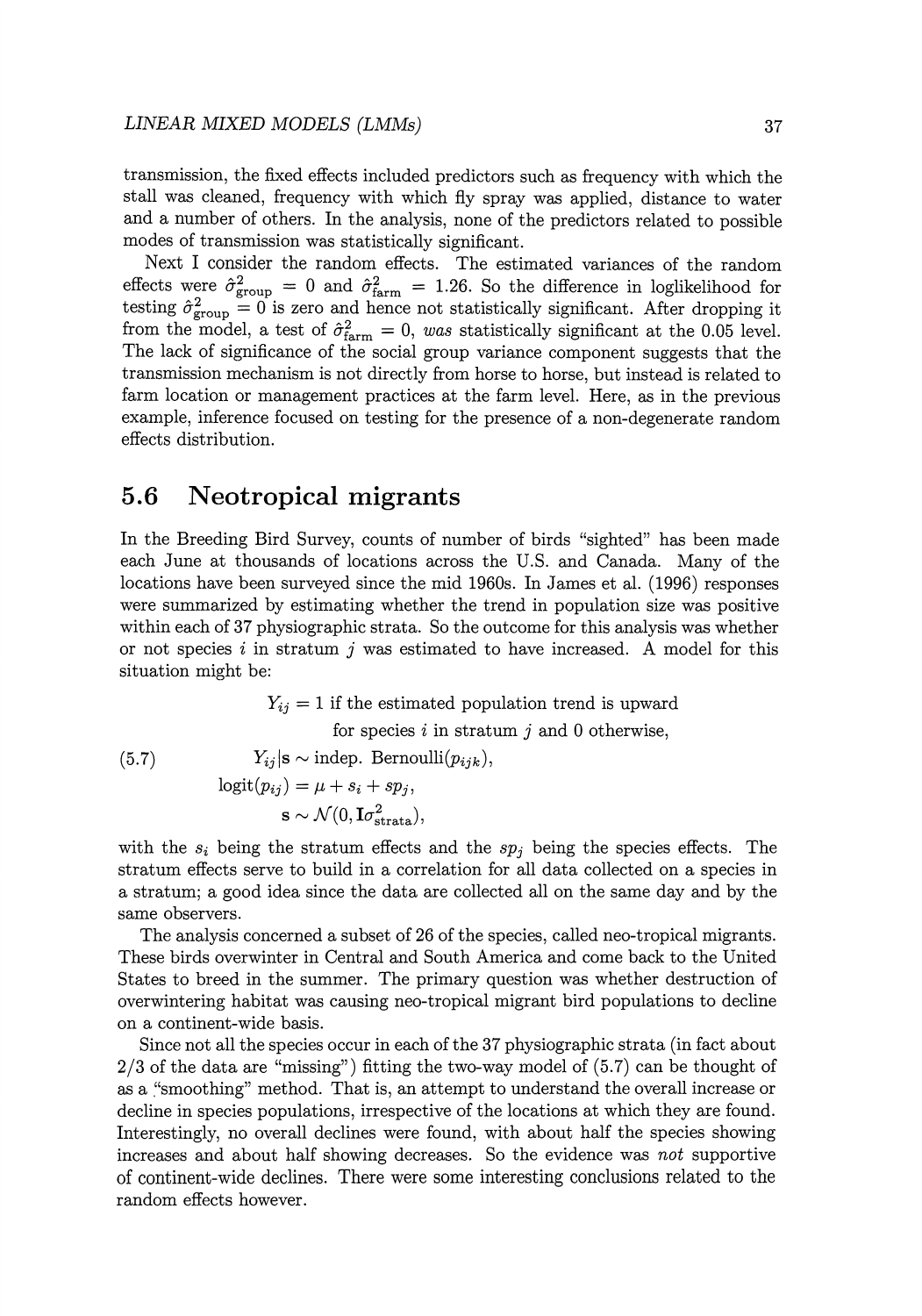transmission, the fixed effects included predictors such as frequency with which the stall was cleaned, frequency with which fly spray was applied, distance to water and a number of others. In the analysis, none of the predictors related to possible modes of transmission was statistically significant.

Next I consider the random effects. The estimated variances of the random effects were  $\hat{\sigma}_{\text{group}}^2 = 0$  and  $\hat{\sigma}_{\text{farm}}^2 = 1.26$ . So the difference in loglikelihood for testing  $\hat{\sigma}_{\text{group}}^2 = 0$  is zero and hence not statistically significant. After dropping it from the model, a test of  $\hat{\sigma}_{\text{farm}}^2 = 0$ , was statistically significant at the 0.05 level. The lack of significance of the social group variance component suggests that the transmission mechanism is not directly from horse to horse, but instead is related to farm location or management practices at the farm level. Here, as in the previous example, inference focused on testing for the presence of a non-degenerate random effects distribution.

#### **5.6 Neotropical migrants**

In the Breeding Bird Survey, counts of number of birds "sighted" has been made each June at thousands of locations across the U.S. and Canada. Many of the locations have been surveyed since the mid 1960s. In James et al. (1996) responses were summarized by estimating whether the trend in population size was positive within each of 37 physiographic strata. So the outcome for this analysis was whether or not species i in stratum j was estimated to have increased. A model for this situation might be:

 $Y_{ij} = 1$  if the estimated population trend is upward for species  $i$  in stratum  $j$  and 0 otherwise, (5.7)  $Y_{ij}$  |s ~ indep. Bernoulli $(p_{ijk}),$ 

$$
logit(p_{ij}) = \mu + s_i + sp_j,
$$
  

$$
\mathbf{s} \sim \mathcal{N}(0, \mathbf{I}\sigma_{\text{strata}}^2),
$$

with the  $s_i$  being the stratum effects and the  $sp_j$  being the species effects. The stratum effects serve to build in a correlation for all data collected on a species in a stratum; a good idea since the data are collected all on the same day and by the same observers.

The analysis concerned a subset of 26 of the species, called neo-tropical migrants. These birds overwinter in Central and South America and come back to the United States to breed in the summer. The primary question was whether destruction of overwintering habitat was causing neo-tropical migrant bird populations to decline on a continent-wide basis.

Since not all the species occur in each of the 37 physiographic strata (in fact about  $2/3$  of the data are "missing") fitting the two-way model of  $(5.7)$  can be thought of as a ."smoothing" method. That is, an attempt to understand the overall increase or decline in species populations, irrespective of the locations at which they are found. Interestingly, no overall declines were found, with about half the species showing increases and about half showing decreases. So the evidence was *not* supportive of continent-wide declines. There were some interesting conclusions related to the random effects however.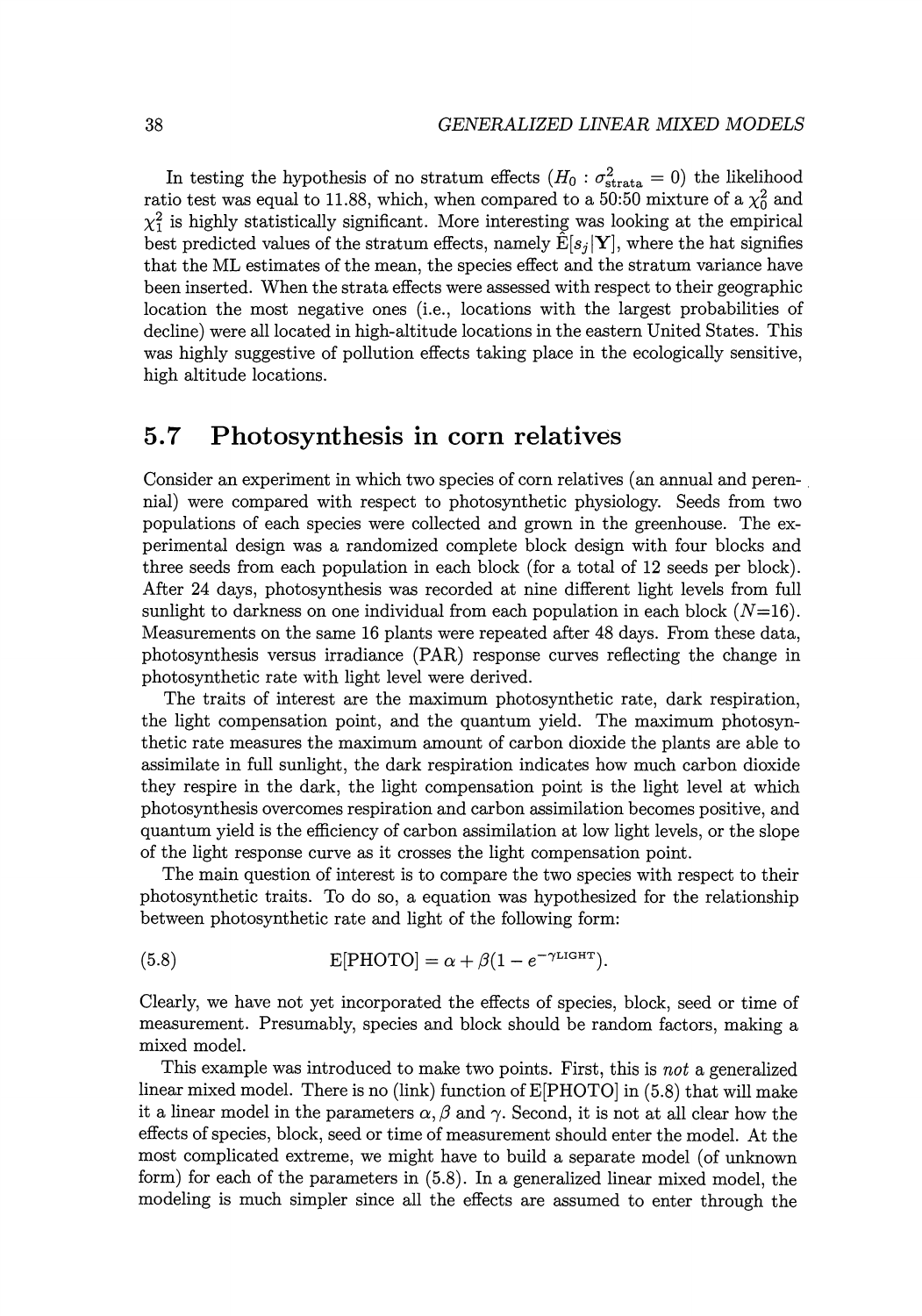In testing the hypothesis of no stratum effects  $(H_0: \sigma_{\text{strata}}^2 = 0)$  the likelihood ratio test was equal to 11.88, which, when compared to a 50:50 mixture of a  $\chi_0^2$  and  $\chi_1^2$  is highly statistically significant. More interesting was looking at the empirical best predicted values of the stratum effects, namely  $\hat{E}[s_i|\mathbf{Y}]$ , where the hat signifies that the ML estimates of the mean, the species effect and the stratum variance have been inserted. When the strata effects were assessed with respect to their geographic location the most negative ones (i.e., locations with the largest probabilities of decline) were all located in high-altitude locations in the eastern United States. This was highly suggestive of pollution effects taking place in the ecologically sensitive, high altitude locations.

#### **5. 7 Photosynthesis in corn relatives**

Consider an experiment in which two species of corn relatives (an annual and peren- . nial) were compared with respect to photosynthetic physiology. Seeds from two populations of each species were collected and grown in the greenhouse. The experimental design was a randomized complete block design with four blocks and three seeds from each population in each block (for a total of 12 seeds per block). After 24 days, photosynthesis was recorded at nine different light levels from full sunlight to darkness on one individual from each population in each block  $(N=16)$ . Measurements on the same 16 plants were repeated after 48 days. From these data, photosynthesis versus irradiance (PAR) response curves reflecting the change in photosynthetic rate with light level were derived.

The traits of interest are the maximum photosynthetic rate, dark respiration, the light compensation point, and the quantum yield. The maximum photosynthetic rate measures the maximum amount of carbon dioxide the plants are able to assimilate in full sunlight, the dark respiration indicates how much carbon dioxide they respire in the dark, the light compensation point is the light level at which photosynthesis overcomes respiration and carbon assimilation becomes positive, and quantum yield is the efficiency of carbon assimilation at low light levels, or the slope of the light response curve as it crosses the light compensation point.

The main question of interest is to compare the two species with respect to their photosynthetic traits. To do so, a equation was hypothesized for the relationship between photosynthetic rate and light of the following form:

(5.8) 
$$
E[PHOTO] = \alpha + \beta (1 - e^{-\gamma LIGHT}).
$$

Clearly, we have not yet incorporated the effects of species, block, seed or time of measurement. Presumably, species and block should be random factors, making a mixed model.

This example was introduced to make two points. First, this is *not* a generalized linear mixed model. There is no (link) function of E[PHOTO] in (5.8) that will make it a linear model in the parameters  $\alpha, \beta$  and  $\gamma$ . Second, it is not at all clear how the effects of species, block, seed or time of measurement should enter the model. At the most complicated extreme, we might have to build a separate model (of unknown form) for each of the parameters in (5.8). In a generalized linear mixed model, the modeling is much simpler since all the effects are assumed to enter through the